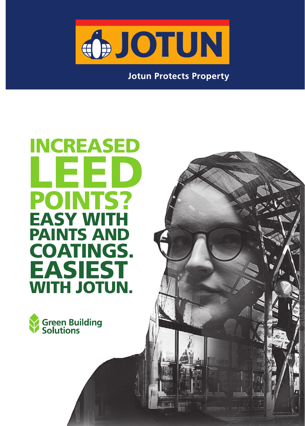

**Jotun Protects Property** 

# INCREASED LEED LEED**DINTS?** EASY WITH PAINTS AND COATINGS. EASIEST WITH JOTUN.

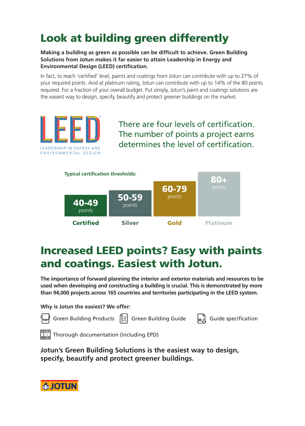# Look at building green differently

**Making a building as green as possible can be difficult to achieve. Green Building Solutions from Jotun makes it far easier to attain Leadership in Energy and Environmental Design (LEED) certification.**

In fact, to reach 'certified' level, paints and coatings from Jotun can contribute with up to 27% of your required points. And at platinum rating, Jotun can contribute with up to 14% of the 80 points required. For a fraction of your overall budget. Put simply, Jotun's paint and coatings solutions are the easiest way to design, specify, beautify and protect greener buildings on the market.



There are four levels of certification. The number of points a project earns determines the level of certification.



## Increased LEED points? Easy with paints and coatings. Easiest with Jotun.

**The importance of forward planning the interior and exterior materials and resources to be used when developing and constructing a building is crucial. This is demonstrated by more than 94,000 projects across 165 countries and territories participating in the LEED system.** 

**Why is Jotun the easiest? We offer:** 



Green Building Products Green Building Guide Guide specification



**Jotun's Green Building Solutions is the easiest way to design, specify, beautify and protect greener buildings.**

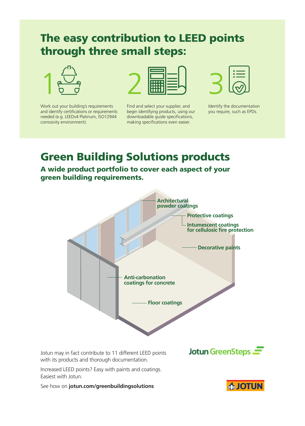#### The easy contribution to LEED points through three small steps:



Work out your building's requirements and identify certifications or requirements needed (e.g. LEEDv4 Platinum, ISO12944 corrosivity environment).



Find and select your supplier, and begin identifying products, using our downloadable guide specifications, making specifications even easier.



Identify the documentation you require, such as EPDs.

### Green Building Solutions products

A wide product portfolio to cover each aspect of your green building requirements.



Jotun may in fact contribute to 11 different LEED points with its products and thorough documentation.

Jotun GreenSteps

Increased LEED points? Easy with paints and coatings. Easiest with Jotun.

See how on **jotun.com/greenbuildingsolutions**